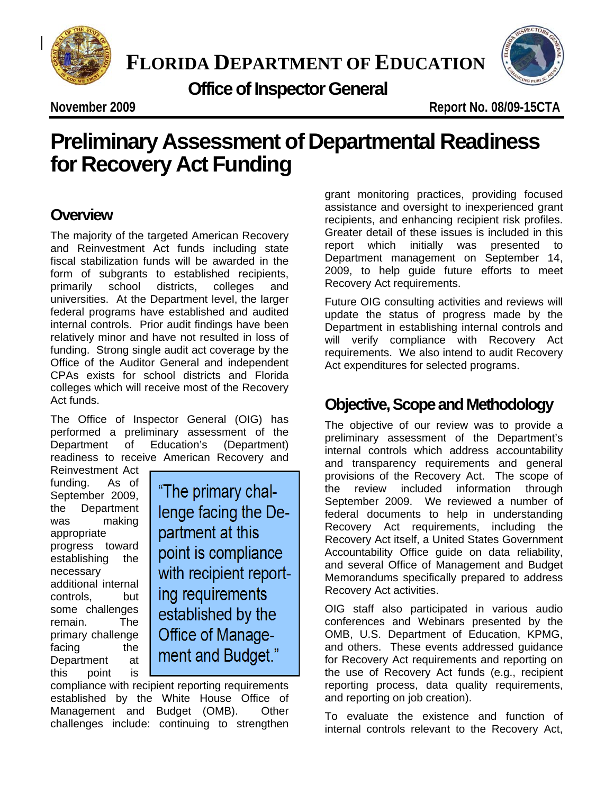

**FLORIDA DEPARTMENT OF EDUCATION**

 **Office of Inspector General**



**November 2009 Report No. 08/09-15CTA** 

# **Teliminary Assessment of Departmental Read**<br>Or Recovery Act Funding **Preliminary Assessment of Departmental Readiness for Recovery Act Funding**

## **Overview**

The majority of the targeted American Recovery and Reinvestment Act funds including state fiscal stabilization funds will be awarded in the form of subgrants to established recipients, primarily school districts, colleges and universities. At the Department level, the larger federal programs have established and audited internal controls. Prior audit findings have been relatively minor and have not resulted in loss of funding. Strong single audit act coverage by the Office of the Auditor General and independent CPAs exists for school districts and Florida colleges which will receive most of the Recovery Act funds.

The Office of Inspector General (OIG) has performed a preliminary assessment of the Department of Education's (Department) readiness to receive American Recovery and

Reinvestment Act funding. As of September 2009, the Department was making appropriate progress toward establishing the necessary additional internal controls, but some challenges remain. The primary challenge facing the Department at this point is

"The primary challenge facing the Department at this point is compliance with recipient reporting requirements established by the Office of Management and Budget."

compliance with recipient reporting requirements established by the White House Office of Management and Budget (OMB). Other challenges include: continuing to strengthen grant monitoring practices, providing focused assistance and oversight to inexperienced grant recipients, and enhancing recipient risk profiles. Greater detail of these issues is included in this report which initially was presented to Department management on September 14, 2009, to help guide future efforts to meet Recovery Act requirements.

Future OIG consulting activities and reviews will update the status of progress made by the Department in establishing internal controls and will verify compliance with Recovery Act requirements. We also intend to audit Recovery Act expenditures for selected programs.

# **Objective, Scope and Methodology**

The objective of our review was to provide a preliminary assessment of the Department's internal controls which address accountability and transparency requirements and general provisions of the Recovery Act. The scope of the review included information through September 2009. We reviewed a number of federal documents to help in understanding Recovery Act requirements, including the Recovery Act itself, a United States Government Accountability Office guide on data reliability, and several Office of Management and Budget Memorandums specifically prepared to address Recovery Act activities.

OIG staff also participated in various audio conferences and Webinars presented by the OMB, U.S. Department of Education, KPMG, and others. These events addressed guidance for Recovery Act requirements and reporting on the use of Recovery Act funds (e.g., recipient reporting process, data quality requirements, and reporting on job creation).

To evaluate the existence and function of internal controls relevant to the Recovery Act,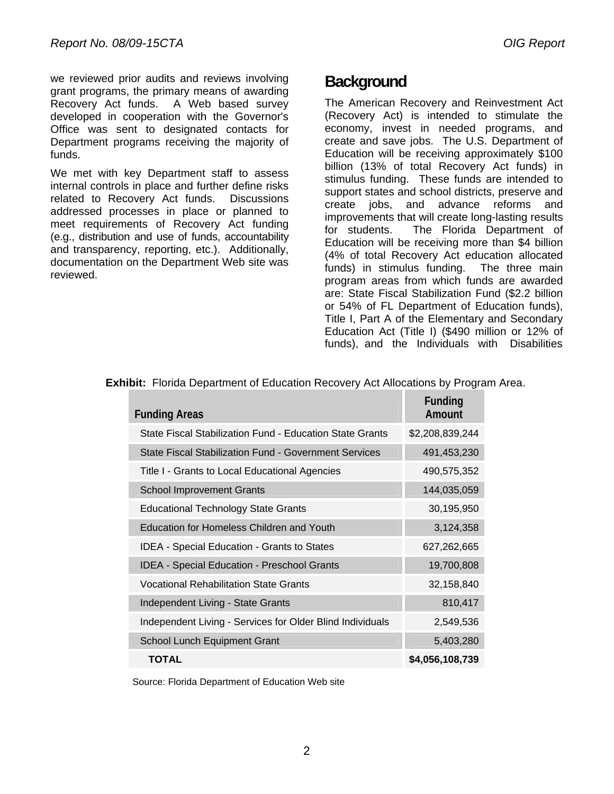we reviewed prior audits and reviews involving grant programs, the primary means of awarding Recovery Act funds. A Web based survey developed in cooperation with the Governor's Office was sent to designated contacts for Department programs receiving the majority of funds.

We met with key Department staff to assess internal controls in place and further define risks related to Recovery Act funds. Discussions addressed processes in place or planned to meet requirements of Recovery Act funding (e.g., distribution and use of funds, accountability and transparency, reporting, etc.). Additionally, documentation on the Department Web site was reviewed.

## **Background**

The American Recovery and Reinvestment Act (Recovery Act) is intended to stimulate the economy, invest in needed programs, and create and save jobs. The U.S. Department of Education will be receiving approximately \$100 billion (13% of total Recovery Act funds) in stimulus funding. These funds are intended to support states and school districts, preserve and create jobs, and advance reforms and improvements that will create long-lasting results for students. The Florida Department of Education will be receiving more than \$4 billion (4% of total Recovery Act education allocated funds) in stimulus funding. The three main program areas from which funds are awarded are: State Fiscal Stabilization Fund (\$2.2 billion or 54% of FL Department of Education funds), Title I, Part A of the Elementary and Secondary Education Act (Title I) (\$490 million or 12% of funds), and the Individuals with Disabilities

| <b>Funding Areas</b>                                      | Funding<br>Amount |
|-----------------------------------------------------------|-------------------|
| State Fiscal Stabilization Fund - Education State Grants  | \$2,208,839,244   |
| State Fiscal Stabilization Fund - Government Services     | 491,453,230       |
| Title I - Grants to Local Educational Agencies            | 490,575,352       |
| <b>School Improvement Grants</b>                          | 144,035,059       |
| <b>Educational Technology State Grants</b>                | 30,195,950        |
| <b>Education for Homeless Children and Youth</b>          | 3,124,358         |
| <b>IDEA - Special Education - Grants to States</b>        | 627,262,665       |
| <b>IDEA - Special Education - Preschool Grants</b>        | 19,700,808        |
| Vocational Rehabilitation State Grants                    | 32,158,840        |
| Independent Living - State Grants                         | 810,417           |
| Independent Living - Services for Older Blind Individuals | 2,549,536         |
| School Lunch Equipment Grant                              | 5,403,280         |
| TOTAL                                                     | \$4,056,108,739   |

 **Exhibit:** Florida Department of Education Recovery Act Allocations by Program Area.

Source: Florida Department of Education Web site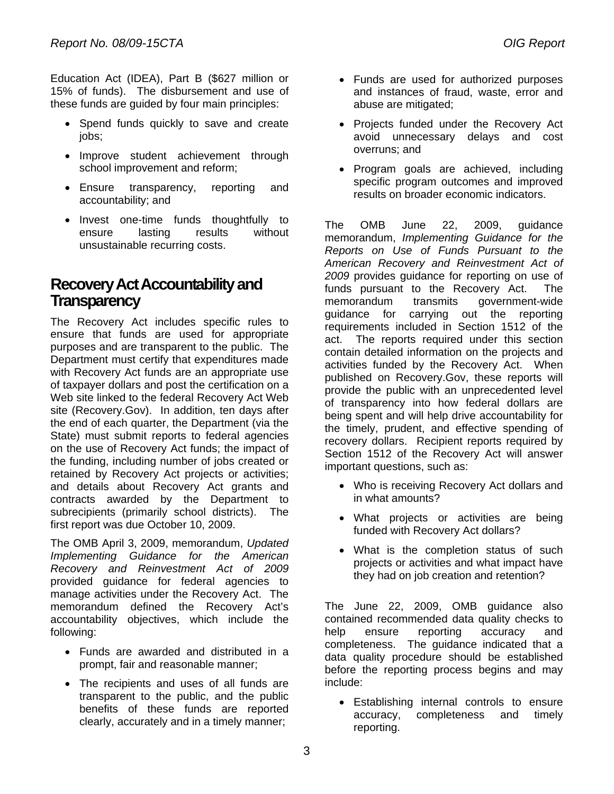Education Act (IDEA), Part B (\$627 million or 15% of funds). The disbursement and use of these funds are guided by four main principles:

- Spend funds quickly to save and create jobs;
- Improve student achievement through school improvement and reform;
- Ensure transparency, reporting and accountability; and
- Invest one-time funds thoughtfully to ensure lasting results without unsustainable recurring costs.

### **Recovery Act Accountability and Transparency**

The Recovery Act includes specific rules to ensure that funds are used for appropriate purposes and are transparent to the public. The Department must certify that expenditures made with Recovery Act funds are an appropriate use of taxpayer dollars and post the certification on a Web site linked to the federal Recovery Act Web site (Recovery.Gov). In addition, ten days after the end of each quarter, the Department (via the State) must submit reports to federal agencies on the use of Recovery Act funds; the impact of the funding, including number of jobs created or retained by Recovery Act projects or activities; and details about Recovery Act grants and contracts awarded by the Department to subrecipients (primarily school districts). The first report was due October 10, 2009.

The OMB April 3, 2009, memorandum, *Updated Implementing Guidance for the American Recovery and Reinvestment Act of 2009* provided guidance for federal agencies to manage activities under the Recovery Act. The memorandum defined the Recovery Act's accountability objectives, which include the following:

- Funds are awarded and distributed in a prompt, fair and reasonable manner;
- The recipients and uses of all funds are transparent to the public, and the public benefits of these funds are reported clearly, accurately and in a timely manner;
- Funds are used for authorized purposes and instances of fraud, waste, error and abuse are mitigated;
- Projects funded under the Recovery Act avoid unnecessary delays and cost overruns; and
- Program goals are achieved, including specific program outcomes and improved results on broader economic indicators.

The OMB June 22, 2009, guidance memorandum, *Implementing Guidance for the Reports on Use of Funds Pursuant to the American Recovery and Reinvestment Act of 2009* provides guidance for reporting on use of funds pursuant to the Recovery Act. The memorandum transmits government-wide guidance for carrying out the reporting requirements included in Section 1512 of the act. The reports required under this section contain detailed information on the projects and activities funded by the Recovery Act. When published on Recovery.Gov, these reports will provide the public with an unprecedented level of transparency into how federal dollars are being spent and will help drive accountability for the timely, prudent, and effective spending of recovery dollars. Recipient reports required by Section 1512 of the Recovery Act will answer important questions, such as:

- Who is receiving Recovery Act dollars and in what amounts?
- What projects or activities are being funded with Recovery Act dollars?
- What is the completion status of such projects or activities and what impact have they had on job creation and retention?

The June 22, 2009, OMB guidance also contained recommended data quality checks to help ensure reporting accuracy and completeness. The guidance indicated that a data quality procedure should be established before the reporting process begins and may include:

 Establishing internal controls to ensure accuracy, completeness and timely reporting.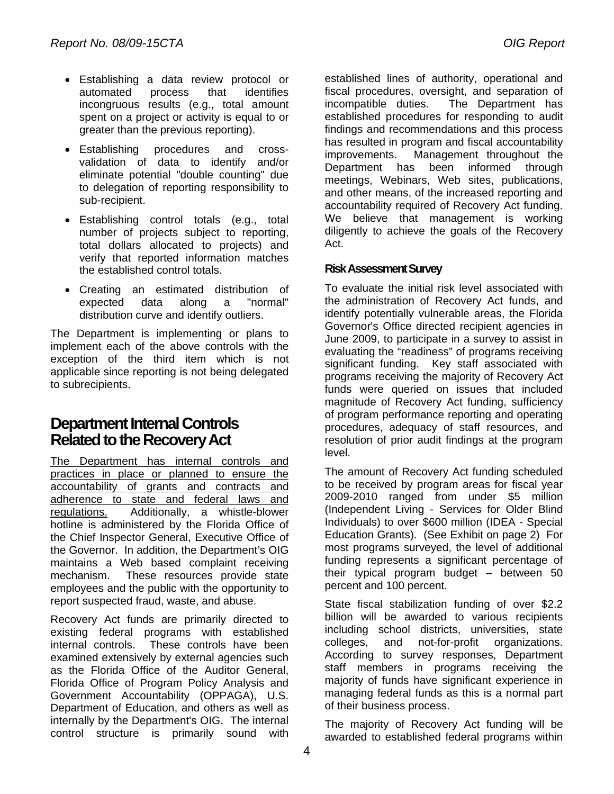- Establishing a data review protocol or automated process that identifies incongruous results (e.g., total amount spent on a project or activity is equal to or greater than the previous reporting).
- Establishing procedures and crossvalidation of data to identify and/or eliminate potential "double counting" due to delegation of reporting responsibility to sub-recipient.
- Establishing control totals (e.g., total number of projects subject to reporting, total dollars allocated to projects) and verify that reported information matches the established control totals.
- Creating an estimated distribution of expected data along a "normal" distribution curve and identify outliers.

The Department is implementing or plans to implement each of the above controls with the exception of the third item which is not applicable since reporting is not being delegated to subrecipients.

### **Department Internal Controls Related to the Recovery Act**

The Department has internal controls and practices in place or planned to ensure the accountability of grants and contracts and adherence to state and federal laws and regulations. Additionally, a whistle-blower hotline is administered by the Florida Office of the Chief Inspector General, Executive Office of the Governor. In addition, the Department's OIG maintains a Web based complaint receiving mechanism. These resources provide state employees and the public with the opportunity to report suspected fraud, waste, and abuse.

Recovery Act funds are primarily directed to existing federal programs with established internal controls. These controls have been examined extensively by external agencies such as the Florida Office of the Auditor General, Florida Office of Program Policy Analysis and Government Accountability (OPPAGA), U.S. Department of Education, and others as well as internally by the Department's OIG. The internal control structure is primarily sound with

established lines of authority, operational and fiscal procedures, oversight, and separation of incompatible duties. The Department has established procedures for responding to audit findings and recommendations and this process has resulted in program and fiscal accountability improvements. Management throughout the Department has been informed through meetings, Webinars, Web sites, publications, and other means, of the increased reporting and accountability required of Recovery Act funding. We believe that management is working diligently to achieve the goals of the Recovery Act.

#### **Risk Assessment Survey**

To evaluate the initial risk level associated with the administration of Recovery Act funds, and identify potentially vulnerable areas, the Florida Governor's Office directed recipient agencies in June 2009, to participate in a survey to assist in evaluating the "readiness" of programs receiving significant funding. Key staff associated with programs receiving the majority of Recovery Act funds were queried on issues that included magnitude of Recovery Act funding, sufficiency of program performance reporting and operating procedures, adequacy of staff resources, and resolution of prior audit findings at the program level.

The amount of Recovery Act funding scheduled to be received by program areas for fiscal year 2009-2010 ranged from under \$5 million (Independent Living - Services for Older Blind Individuals) to over \$600 million (IDEA - Special Education Grants). (See Exhibit on page 2) For most programs surveyed, the level of additional funding represents a significant percentage of their typical program budget – between 50 percent and 100 percent.

State fiscal stabilization funding of over \$2.2 billion will be awarded to various recipients including school districts, universities, state colleges, and not-for-profit organizations. According to survey responses, Department staff members in programs receiving the majority of funds have significant experience in managing federal funds as this is a normal part of their business process.

The majority of Recovery Act funding will be awarded to established federal programs within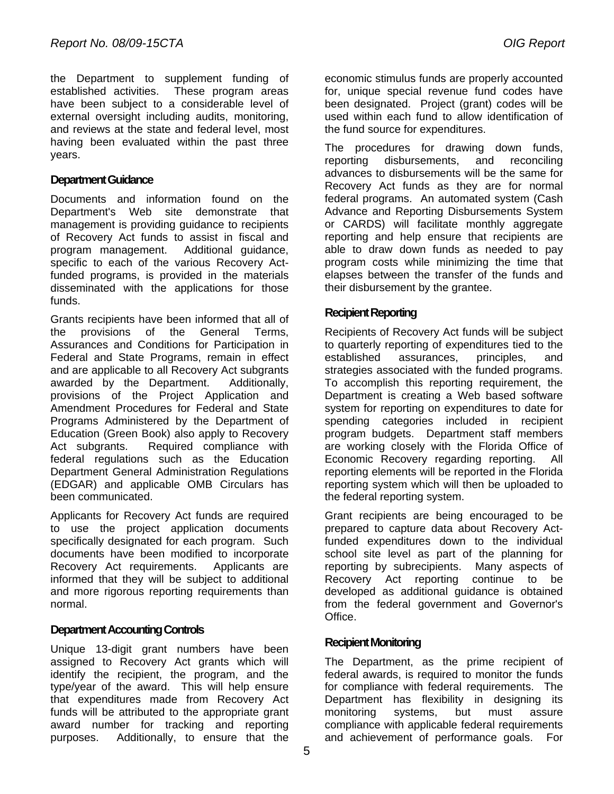the Department to supplement funding of established activities. These program areas have been subject to a considerable level of external oversight including audits, monitoring, and reviews at the state and federal level, most having been evaluated within the past three years.

#### **Department Guidance**

Documents and information found on the Department's Web site demonstrate that management is providing guidance to recipients of Recovery Act funds to assist in fiscal and program management. Additional guidance, specific to each of the various Recovery Actfunded programs, is provided in the materials disseminated with the applications for those funds.

Grants recipients have been informed that all of the provisions of the General Terms, Assurances and Conditions for Participation in Federal and State Programs, remain in effect and are applicable to all Recovery Act subgrants awarded by the Department. Additionally, provisions of the Project Application and Amendment Procedures for Federal and State Programs Administered by the Department of Education (Green Book) also apply to Recovery Act subgrants. Required compliance with federal regulations such as the Education Department General Administration Regulations (EDGAR) and applicable OMB Circulars has been communicated.

Applicants for Recovery Act funds are required to use the project application documents specifically designated for each program. Such documents have been modified to incorporate Recovery Act requirements. Applicants are informed that they will be subject to additional and more rigorous reporting requirements than normal.

#### **Department Accounting Controls**

Unique 13-digit grant numbers have been assigned to Recovery Act grants which will identify the recipient, the program, and the type/year of the award. This will help ensure that expenditures made from Recovery Act funds will be attributed to the appropriate grant award number for tracking and reporting purposes. Additionally, to ensure that the

economic stimulus funds are properly accounted for, unique special revenue fund codes have been designated. Project (grant) codes will be used within each fund to allow identification of the fund source for expenditures.

The procedures for drawing down funds, reporting disbursements, and reconciling advances to disbursements will be the same for Recovery Act funds as they are for normal federal programs. An automated system (Cash Advance and Reporting Disbursements System or CARDS) will facilitate monthly aggregate reporting and help ensure that recipients are able to draw down funds as needed to pay program costs while minimizing the time that elapses between the transfer of the funds and their disbursement by the grantee.

#### **Recipient Reporting**

Recipients of Recovery Act funds will be subject to quarterly reporting of expenditures tied to the established assurances, principles, and strategies associated with the funded programs. To accomplish this reporting requirement, the Department is creating a Web based software system for reporting on expenditures to date for spending categories included in recipient program budgets. Department staff members are working closely with the Florida Office of Economic Recovery regarding reporting. All reporting elements will be reported in the Florida reporting system which will then be uploaded to the federal reporting system.

Grant recipients are being encouraged to be prepared to capture data about Recovery Actfunded expenditures down to the individual school site level as part of the planning for reporting by subrecipients. Many aspects of Recovery Act reporting continue to be developed as additional guidance is obtained from the federal government and Governor's Office.

#### **Recipient Monitoring**

The Department, as the prime recipient of federal awards, is required to monitor the funds for compliance with federal requirements. The Department has flexibility in designing its monitoring systems, but must assure compliance with applicable federal requirements and achievement of performance goals. For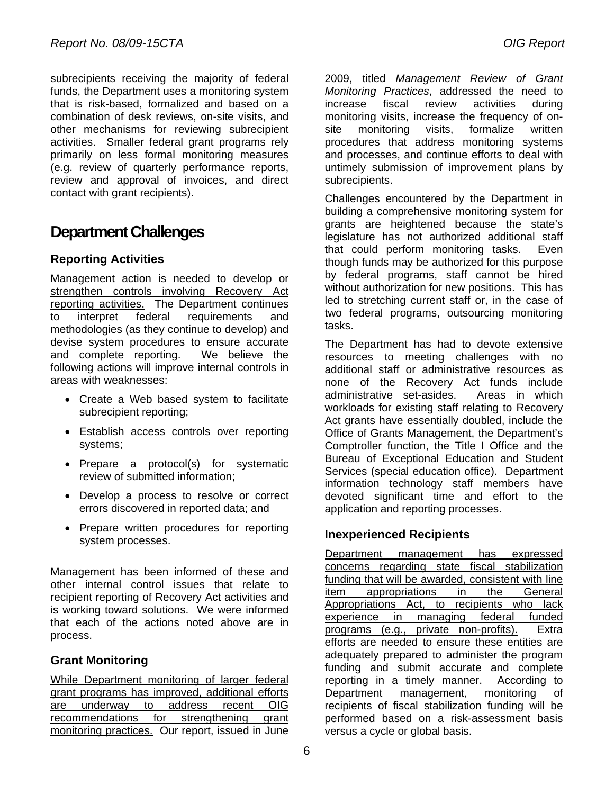subrecipients receiving the majority of federal funds, the Department uses a monitoring system that is risk-based, formalized and based on a combination of desk reviews, on-site visits, and other mechanisms for reviewing subrecipient activities. Smaller federal grant programs rely primarily on less formal monitoring measures (e.g. review of quarterly performance reports, review and approval of invoices, and direct contact with grant recipients).

## **Department Challenges**

### **Reporting Activities**

Management action is needed to develop or strengthen controls involving Recovery Act reporting activities. The Department continues to interpret federal requirements and methodologies (as they continue to develop) and devise system procedures to ensure accurate and complete reporting. We believe the following actions will improve internal controls in areas with weaknesses:

- Create a Web based system to facilitate subrecipient reporting;
- Establish access controls over reporting systems;
- Prepare a protocol(s) for systematic review of submitted information;
- Develop a process to resolve or correct errors discovered in reported data; and
- Prepare written procedures for reporting system processes.

Management has been informed of these and other internal control issues that relate to recipient reporting of Recovery Act activities and is working toward solutions. We were informed that each of the actions noted above are in process.

### **Grant Monitoring**

While Department monitoring of larger federal grant programs has improved, additional efforts are underway to address recent OIG recommendations for strengthening grant monitoring practices. Our report, issued in June 2009, titled *Management Review of Grant Monitoring Practices*, addressed the need to increase fiscal review activities during monitoring visits, increase the frequency of onsite monitoring visits, formalize written procedures that address monitoring systems and processes, and continue efforts to deal with untimely submission of improvement plans by subrecipients.

Challenges encountered by the Department in building a comprehensive monitoring system for grants are heightened because the state's legislature has not authorized additional staff that could perform monitoring tasks. Even though funds may be authorized for this purpose by federal programs, staff cannot be hired without authorization for new positions. This has led to stretching current staff or, in the case of two federal programs, outsourcing monitoring tasks.

The Department has had to devote extensive resources to meeting challenges with no additional staff or administrative resources as none of the Recovery Act funds include administrative set-asides. Areas in which workloads for existing staff relating to Recovery Act grants have essentially doubled, include the Office of Grants Management, the Department's Comptroller function, the Title I Office and the Bureau of Exceptional Education and Student Services (special education office). Department information technology staff members have devoted significant time and effort to the application and reporting processes.

#### **Inexperienced Recipients**

Department management has expressed concerns regarding state fiscal stabilization funding that will be awarded, consistent with line item appropriations in the General Appropriations Act, to recipients who lack experience in managing federal funded programs (e.g., private non-profits). Extra efforts are needed to ensure these entities are adequately prepared to administer the program funding and submit accurate and complete reporting in a timely manner. According to Department management, monitoring of recipients of fiscal stabilization funding will be performed based on a risk-assessment basis versus a cycle or global basis.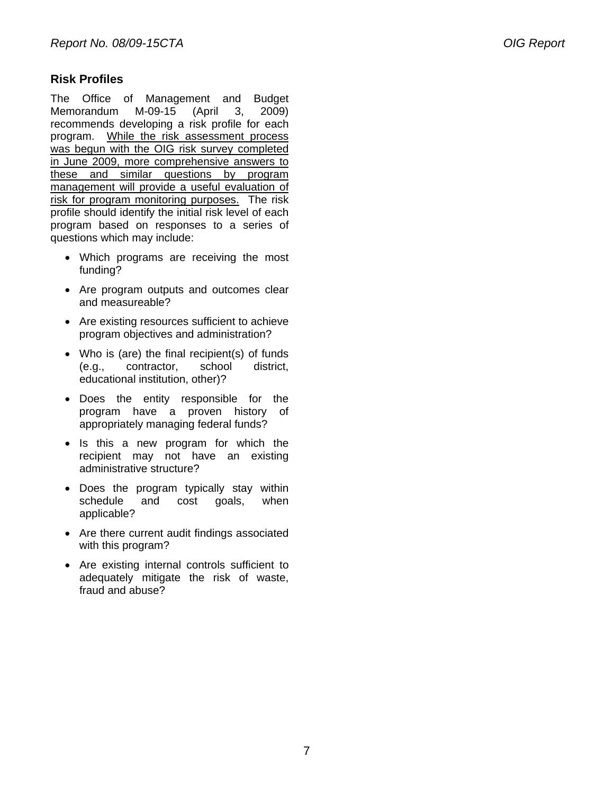#### **Risk Profiles**

The Office of Management and Budget Memorandum M-09-15 (April 3, 2009) recommends developing a risk profile for each program. While the risk assessment process was begun with the OIG risk survey completed in June 2009, more comprehensive answers to these and similar questions by program management will provide a useful evaluation of risk for program monitoring purposes. The risk profile should identify the initial risk level of each program based on responses to a series of questions which may include:

- Which programs are receiving the most funding?
- Are program outputs and outcomes clear and measureable?
- Are existing resources sufficient to achieve program objectives and administration?
- Who is (are) the final recipient(s) of funds (e.g., contractor, school district, educational institution, other)?
- Does the entity responsible for the program have a proven history of appropriately managing federal funds?
- Is this a new program for which the recipient may not have an existing administrative structure?
- Does the program typically stay within schedule and cost goals, when applicable?
- Are there current audit findings associated with this program?
- Are existing internal controls sufficient to adequately mitigate the risk of waste, fraud and abuse?